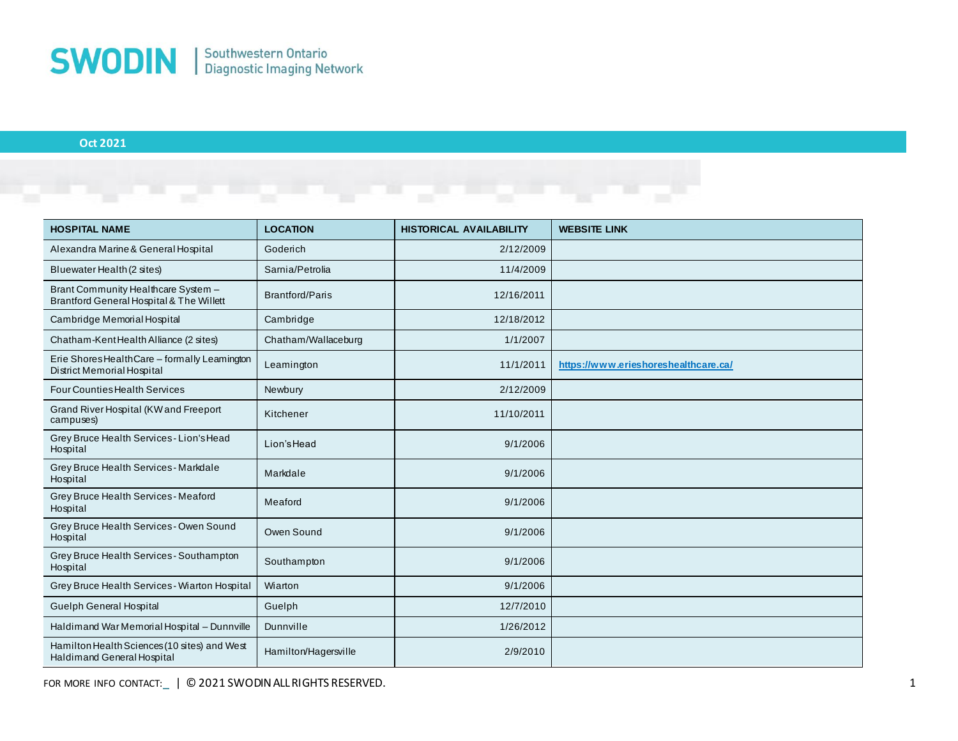

## **Oct 2021**

| <b>HOSPITAL NAME</b>                                                              | <b>LOCATION</b>        | <b>HISTORICAL AVAILABILITY</b> | <b>WEBSITE LINK</b>                  |
|-----------------------------------------------------------------------------------|------------------------|--------------------------------|--------------------------------------|
| Alexandra Marine & General Hospital                                               | Goderich               | 2/12/2009                      |                                      |
| Bluewater Health (2 sites)                                                        | Samia/Petrolia         | 11/4/2009                      |                                      |
| Brant Community Healthcare System -<br>Brantford General Hospital & The Willett   | <b>Brantford/Paris</b> | 12/16/2011                     |                                      |
| Cambridge Memorial Hospital                                                       | Cambridge              | 12/18/2012                     |                                      |
| Chatham-KentHealth Alliance (2 sites)                                             | Chatham/Wallaceburg    | 1/1/2007                       |                                      |
| Erie Shores Health Care - formally Leamington<br>District Memorial Hospital       | Leamington             | 11/1/2011                      | https://www.erieshoreshealthcare.ca/ |
| <b>Four Counties Health Services</b>                                              | Newbury                | 2/12/2009                      |                                      |
| Grand River Hospital (KW and Freeport<br>campuses)                                | Kitchener              | 11/10/2011                     |                                      |
| Grey Bruce Health Services - Lion's Head<br>Hospital                              | Lion's Head            | 9/1/2006                       |                                      |
| Grey Bruce Health Services - Markdale<br>Hospital                                 | Markdale               | 9/1/2006                       |                                      |
| Grey Bruce Health Services - Meaford<br>Hospital                                  | Meaford                | 9/1/2006                       |                                      |
| Grey Bruce Health Services - Owen Sound<br>Hospital                               | Owen Sound             | 9/1/2006                       |                                      |
| Grey Bruce Health Services - Southampton<br>Hospital                              | Southampton            | 9/1/2006                       |                                      |
| Grey Bruce Health Services - Wiarton Hospital                                     | Wiarton                | 9/1/2006                       |                                      |
| Guelph General Hospital                                                           | Guelph                 | 12/7/2010                      |                                      |
| Haldimand War Memorial Hospital - Dunnville                                       | Dunnville              | 1/26/2012                      |                                      |
| Hamilton Health Sciences (10 sites) and West<br><b>Haldimand General Hospital</b> | Hamilton/Hagersville   | 2/9/2010                       |                                      |

FOR MORE INFO CONTACT: | © 2021 SWODIN ALL RIGHTS RESERVED. 1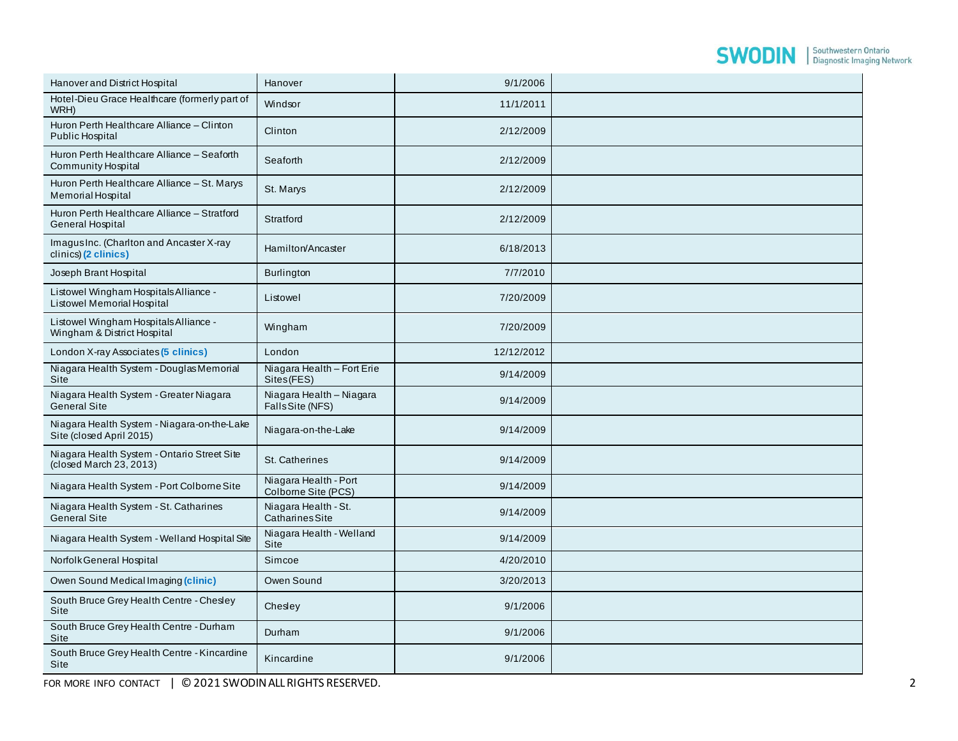## **SWODIN** Southwestern Ontario

| Hanover and District Hospital                                           | Hanover                                       | 9/1/2006   |  |
|-------------------------------------------------------------------------|-----------------------------------------------|------------|--|
| Hotel-Dieu Grace Healthcare (formerly part of<br>WRH)                   | Windsor                                       | 11/1/2011  |  |
| Huron Perth Healthcare Alliance - Clinton<br>Public Hospital            | Clinton                                       | 2/12/2009  |  |
| Huron Perth Healthcare Alliance - Seaforth<br><b>Community Hospital</b> | Seaforth                                      | 2/12/2009  |  |
| Huron Perth Healthcare Alliance - St. Marys<br>Memorial Hospital        | St. Marys                                     | 2/12/2009  |  |
| Huron Perth Healthcare Alliance - Stratford<br><b>General Hospital</b>  | Stratford                                     | 2/12/2009  |  |
| Imagus Inc. (Charlton and Ancaster X-ray<br>clinics) (2 clinics)        | Hamilton/Ancaster                             | 6/18/2013  |  |
| Joseph Brant Hospital                                                   | <b>Burlington</b>                             | 7/7/2010   |  |
| Listowel Wingham Hospitals Alliance -<br>Listowel Memorial Hospital     | Listowel                                      | 7/20/2009  |  |
| Listowel Wingham Hospitals Alliance -<br>Wingham & District Hospital    | Wingham                                       | 7/20/2009  |  |
| London X-ray Associates (5 clinics)                                     | London                                        | 12/12/2012 |  |
| Niagara Health System - Douglas Memorial<br>Site                        | Niagara Health - Fort Erie<br>Sites(FES)      | 9/14/2009  |  |
| Niagara Health System - Greater Niagara<br><b>General Site</b>          | Niagara Health - Niagara<br>FallsSite (NFS)   | 9/14/2009  |  |
| Niagara Health System - Niagara-on-the-Lake<br>Site (closed April 2015) | Niagara-on-the-Lake                           | 9/14/2009  |  |
| Niagara Health System - Ontario Street Site<br>(closed March 23, 2013)  | St. Catherines                                | 9/14/2009  |  |
| Niagara Health System - Port Colborne Site                              | Niagara Health - Port<br>Colborne Site (PCS)  | 9/14/2009  |  |
| Niagara Health System - St. Catharines<br><b>General Site</b>           | Niagara Health - St.<br><b>CatharinesSite</b> | 9/14/2009  |  |
| Niagara Health System - Welland Hospital Site                           | Niagara Health - Welland<br>Site              | 9/14/2009  |  |
| Norfolk General Hospital                                                | Simcoe                                        | 4/20/2010  |  |
| Owen Sound Medical Imaging (clinic)                                     | Owen Sound                                    | 3/20/2013  |  |
| South Bruce Grey Health Centre - Chesley<br>Site                        | Chesley                                       | 9/1/2006   |  |
| South Bruce Grey Health Centre - Durham<br>Site                         | Durham                                        | 9/1/2006   |  |
| South Bruce Grey Health Centre - Kincardine<br>Site                     | Kincardine                                    | 9/1/2006   |  |

FOR MORE INFO CONTACT | © 2021 SWODIN ALL RIGHTS RESERVED.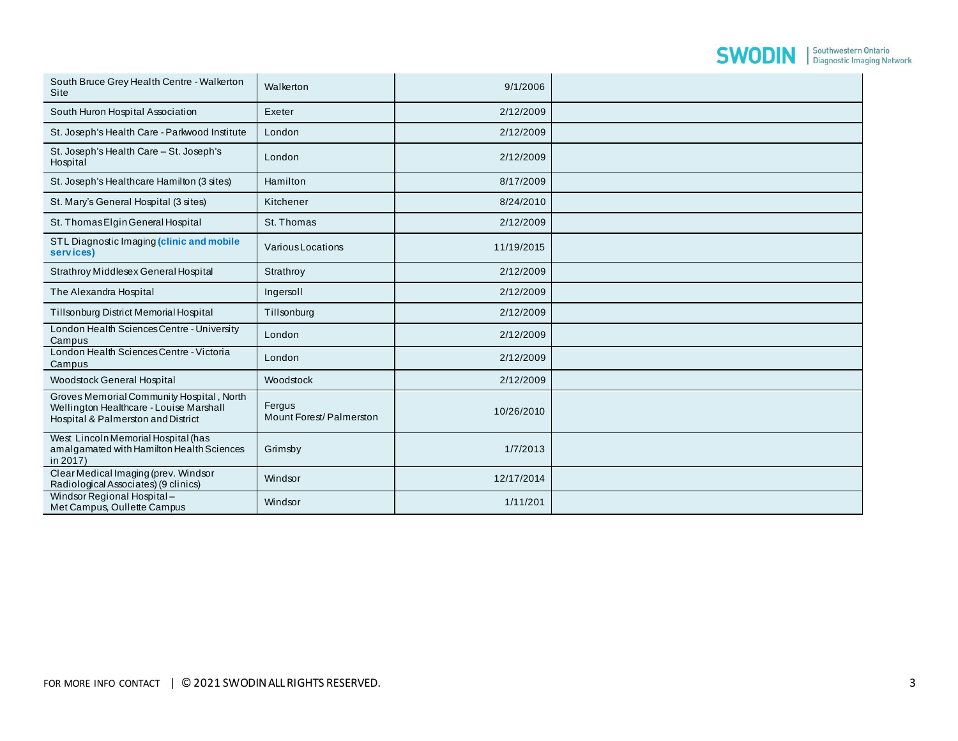## **SWODIN** Southwestern Ontario

| South Bruce Grey Health Centre - Walkerton<br>Site                                                                         | Walkerton                         | 9/1/2006   |  |
|----------------------------------------------------------------------------------------------------------------------------|-----------------------------------|------------|--|
| South Huron Hospital Association                                                                                           | Exeter                            | 2/12/2009  |  |
| St. Joseph's Health Care - Parkwood Institute                                                                              | London                            | 2/12/2009  |  |
| St. Joseph's Health Care - St. Joseph's<br>Hospital                                                                        | London                            | 2/12/2009  |  |
| St. Joseph's Healthcare Hamilton (3 sites)                                                                                 | Hamilton                          | 8/17/2009  |  |
| St. Mary's General Hospital (3 sites)                                                                                      | Kitchener                         | 8/24/2010  |  |
| St. Thomas Elgin General Hospital                                                                                          | St. Thomas                        | 2/12/2009  |  |
| STL Diagnostic Imaging (clinic and mobile<br>services)                                                                     | VariousLocations                  | 11/19/2015 |  |
| Strathroy Middlesex General Hospital                                                                                       | Strathroy                         | 2/12/2009  |  |
| The Alexandra Hospital                                                                                                     | Ingersoll                         | 2/12/2009  |  |
| Tillsonburg District Memorial Hospital                                                                                     | Tillsonburg                       | 2/12/2009  |  |
| London Health Sciences Centre - University<br>Campus                                                                       | London                            | 2/12/2009  |  |
| London Health Sciences Centre - Victoria<br>Campus                                                                         | London                            | 2/12/2009  |  |
| Woodstock General Hospital                                                                                                 | Woodstock                         | 2/12/2009  |  |
| Groves Memorial Community Hospital, North<br>Wellington Healthcare - Louise Marshall<br>Hospital & Palmerston and District | Fergus<br>Mount Forest/Palmerston | 10/26/2010 |  |
| West Lincoln Memorial Hospital (has<br>amalgamated with Hamilton Health Sciences<br>in 2017)                               | Grimsby                           | 1/7/2013   |  |
| Clear Medical Imaging (prev. Windsor<br>Radiological Associates) (9 clinics)                                               | Windsor                           | 12/17/2014 |  |
| Windsor Regional Hospital-<br>Met Campus, Oullette Campus                                                                  | Windsor                           | 1/11/201   |  |